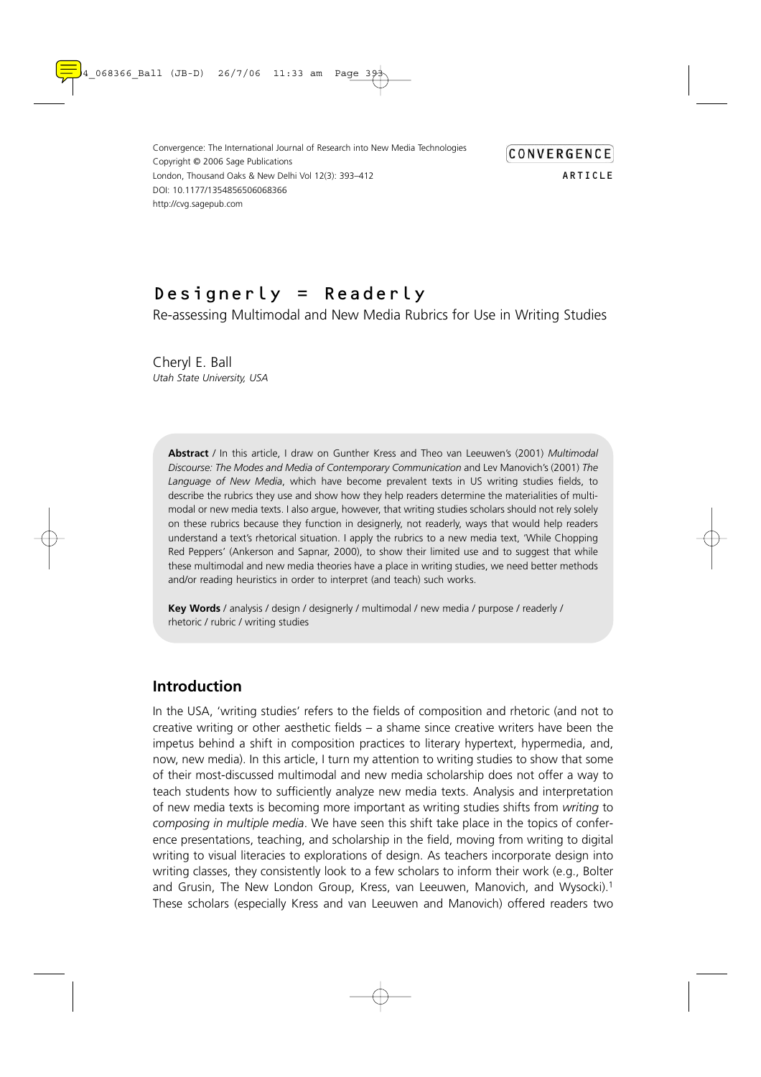Convergence: The International Journal of Research into New Media Technologies Copyright © 2006 Sage Publications London, Thousand Oaks & New Delhi Vol 12(3): 393–412 DOI: 10.1177/1354856506068366 http://cvg.sagepub.com

CONVERGENCE

ARTICLE

# Designerly = Readerly

Re-assessing Multimodal and New Media Rubrics for Use in Writing Studies

Cheryl E. Ball *Utah State University, USA*

> **Abstract** / In this article, I draw on Gunther Kress and Theo van Leeuwen's (2001) *Multimodal Discourse: The Modes and Media of Contemporary Communication* and Lev Manovich's (2001) *The Language of New Media*, which have become prevalent texts in US writing studies fields, to describe the rubrics they use and show how they help readers determine the materialities of multimodal or new media texts. I also argue, however, that writing studies scholars should not rely solely on these rubrics because they function in designerly, not readerly, ways that would help readers understand a text's rhetorical situation. I apply the rubrics to a new media text, 'While Chopping Red Peppers' (Ankerson and Sapnar, 2000), to show their limited use and to suggest that while these multimodal and new media theories have a place in writing studies, we need better methods and/or reading heuristics in order to interpret (and teach) such works.

Key Words / analysis / design / designerly / multimodal / new media / purpose / readerly / rhetoric / rubric / writing studies

## **Introduction**

In the USA, 'writing studies' refers to the fields of composition and rhetoric (and not to creative writing or other aesthetic fields  $-$  a shame since creative writers have been the impetus behind a shift in composition practices to literary hypertext, hypermedia, and, now, new media). In this article, I turn my attention to writing studies to show that some of their most-discussed multimodal and new media scholarship does not offer a way to teach students how to sufficiently analyze new media texts. Analysis and interpretation of new media texts is becoming more important as writing studies shifts from *writing* to *composing in multiple media*. We have seen this shift take place in the topics of conference presentations, teaching, and scholarship in the field, moving from writing to digital writing to visual literacies to explorations of design. As teachers incorporate design into writing classes, they consistently look to a few scholars to inform their work (e.g., Bolter and Grusin, The New London Group, Kress, van Leeuwen, Manovich, and Wysocki).<sup>1</sup> These scholars (especially Kress and van Leeuwen and Manovich) offered readers two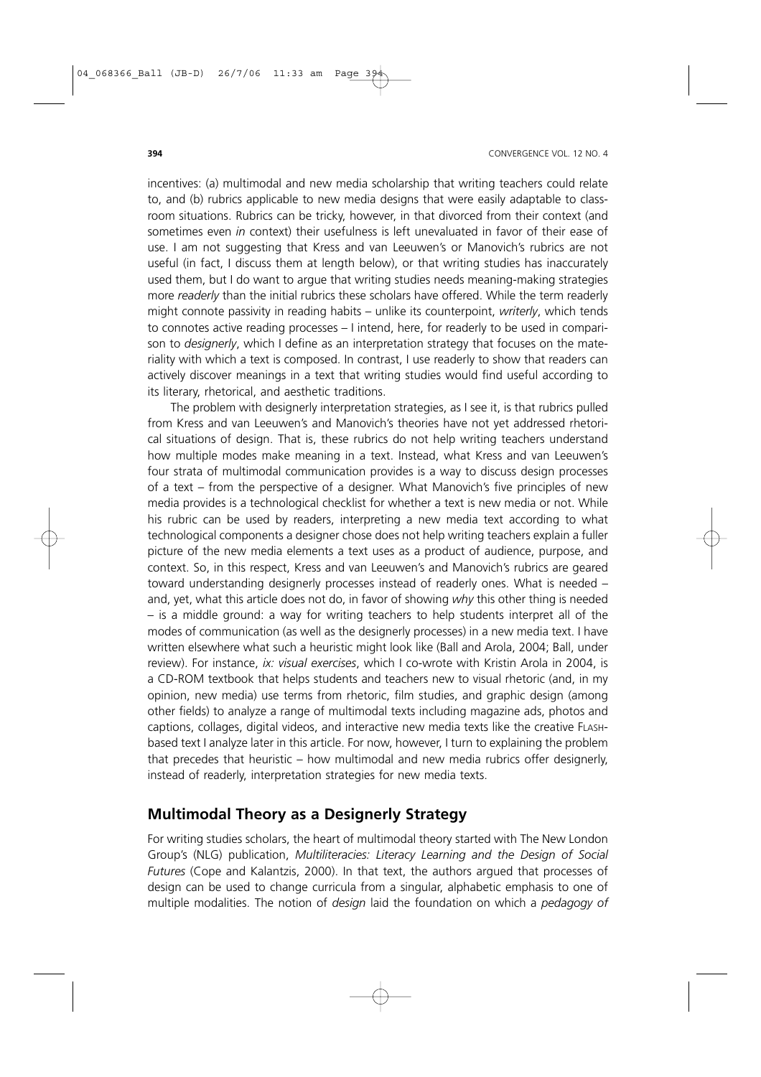incentives: (a) multimodal and new media scholarship that writing teachers could relate to, and (b) rubrics applicable to new media designs that were easily adaptable to classroom situations. Rubrics can be tricky, however, in that divorced from their context (and sometimes even *in* context) their usefulness is left unevaluated in favor of their ease of use. I am not suggesting that Kress and van Leeuwen's or Manovich's rubrics are not useful (in fact, I discuss them at length below), or that writing studies has inaccurately used them, but I do want to argue that writing studies needs meaning-making strategies more *readerly* than the initial rubrics these scholars have offered. While the term readerly might connote passivity in reading habits – unlike its counterpoint, *writerly*, which tends to connotes active reading processes – I intend, here, for readerly to be used in comparison to *designerly*, which I define as an interpretation strategy that focuses on the materiality with which a text is composed. In contrast, I use readerly to show that readers can actively discover meanings in a text that writing studies would find useful according to its literary, rhetorical, and aesthetic traditions.

The problem with designerly interpretation strategies, as I see it, is that rubrics pulled from Kress and van Leeuwen's and Manovich's theories have not yet addressed rhetorical situations of design. That is, these rubrics do not help writing teachers understand how multiple modes make meaning in a text. Instead, what Kress and van Leeuwen's four strata of multimodal communication provides is a way to discuss design processes of a text – from the perspective of a designer. What Manovich's five principles of new media provides is a technological checklist for whether a text is new media or not. While his rubric can be used by readers, interpreting a new media text according to what technological components a designer chose does not help writing teachers explain a fuller picture of the new media elements a text uses as a product of audience, purpose, and context. So, in this respect, Kress and van Leeuwen's and Manovich's rubrics are geared toward understanding designerly processes instead of readerly ones. What is needed – and, yet, what this article does not do, in favor of showing *why* this other thing is needed – is a middle ground: a way for writing teachers to help students interpret all of the modes of communication (as well as the designerly processes) in a new media text. I have written elsewhere what such a heuristic might look like (Ball and Arola, 2004; Ball, under review). For instance, *ix: visual exercises*, which I co-wrote with Kristin Arola in 2004, is a CD-ROM textbook that helps students and teachers new to visual rhetoric (and, in my opinion, new media) use terms from rhetoric, film studies, and graphic design (among other fields) to analyze a range of multimodal texts including magazine ads, photos and captions, collages, digital videos, and interactive new media texts like the creative FLASHbased text I analyze later in this article. For now, however, I turn to explaining the problem that precedes that heuristic – how multimodal and new media rubrics offer designerly, instead of readerly, interpretation strategies for new media texts.

### **Multimodal Theory as a Designerly Strategy**

For writing studies scholars, the heart of multimodal theory started with The New London Group's (NLG) publication, *Multiliteracies: Literacy Learning and the Design of Social Futures* (Cope and Kalantzis, 2000). In that text, the authors argued that processes of design can be used to change curricula from a singular, alphabetic emphasis to one of multiple modalities. The notion of *design* laid the foundation on which a *pedagogy of*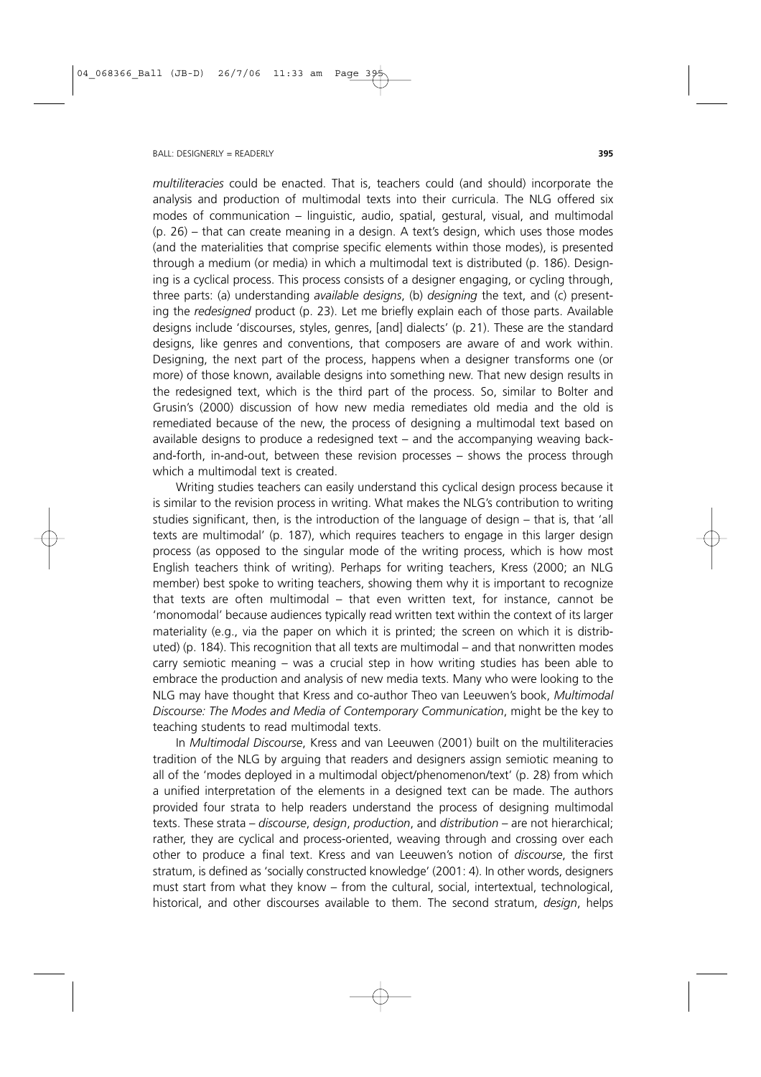*multiliteracies* could be enacted. That is, teachers could (and should) incorporate the analysis and production of multimodal texts into their curricula. The NLG offered six modes of communication – linguistic, audio, spatial, gestural, visual, and multimodal (p. 26) – that can create meaning in a design. A text's design, which uses those modes (and the materialities that comprise specific elements within those modes), is presented through a medium (or media) in which a multimodal text is distributed (p. 186). Designing is a cyclical process. This process consists of a designer engaging, or cycling through, three parts: (a) understanding *available designs*, (b) *designing* the text, and (c) presenting the *redesigned* product (p. 23). Let me briefly explain each of those parts. Available designs include 'discourses, styles, genres, [and] dialects' (p. 21). These are the standard designs, like genres and conventions, that composers are aware of and work within. Designing, the next part of the process, happens when a designer transforms one (or more) of those known, available designs into something new. That new design results in the redesigned text, which is the third part of the process. So, similar to Bolter and Grusin's (2000) discussion of how new media remediates old media and the old is remediated because of the new, the process of designing a multimodal text based on available designs to produce a redesigned text – and the accompanying weaving backand-forth, in-and-out, between these revision processes – shows the process through which a multimodal text is created.

Writing studies teachers can easily understand this cyclical design process because it is similar to the revision process in writing. What makes the NLG's contribution to writing studies significant, then, is the introduction of the language of design – that is, that 'all texts are multimodal' (p. 187), which requires teachers to engage in this larger design process (as opposed to the singular mode of the writing process, which is how most English teachers think of writing). Perhaps for writing teachers, Kress (2000; an NLG member) best spoke to writing teachers, showing them why it is important to recognize that texts are often multimodal – that even written text, for instance, cannot be 'monomodal' because audiences typically read written text within the context of its larger materiality (e.g., via the paper on which it is printed; the screen on which it is distributed) (p. 184). This recognition that all texts are multimodal – and that nonwritten modes carry semiotic meaning – was a crucial step in how writing studies has been able to embrace the production and analysis of new media texts. Many who were looking to the NLG may have thought that Kress and co-author Theo van Leeuwen's book, *Multimodal Discourse: The Modes and Media of Contemporary Communication*, might be the key to teaching students to read multimodal texts.

In *Multimodal Discourse*, Kress and van Leeuwen (2001) built on the multiliteracies tradition of the NLG by arguing that readers and designers assign semiotic meaning to all of the 'modes deployed in a multimodal object/phenomenon/text' (p. 28) from which a unified interpretation of the elements in a designed text can be made. The authors provided four strata to help readers understand the process of designing multimodal texts. These strata – *discourse*, *design*, *production*, and *distribution* – are not hierarchical; rather, they are cyclical and process-oriented, weaving through and crossing over each other to produce a final text. Kress and van Leeuwen's notion of *discourse*, the first stratum, is defined as 'socially constructed knowledge' (2001: 4). In other words, designers must start from what they know – from the cultural, social, intertextual, technological, historical, and other discourses available to them. The second stratum, *design*, helps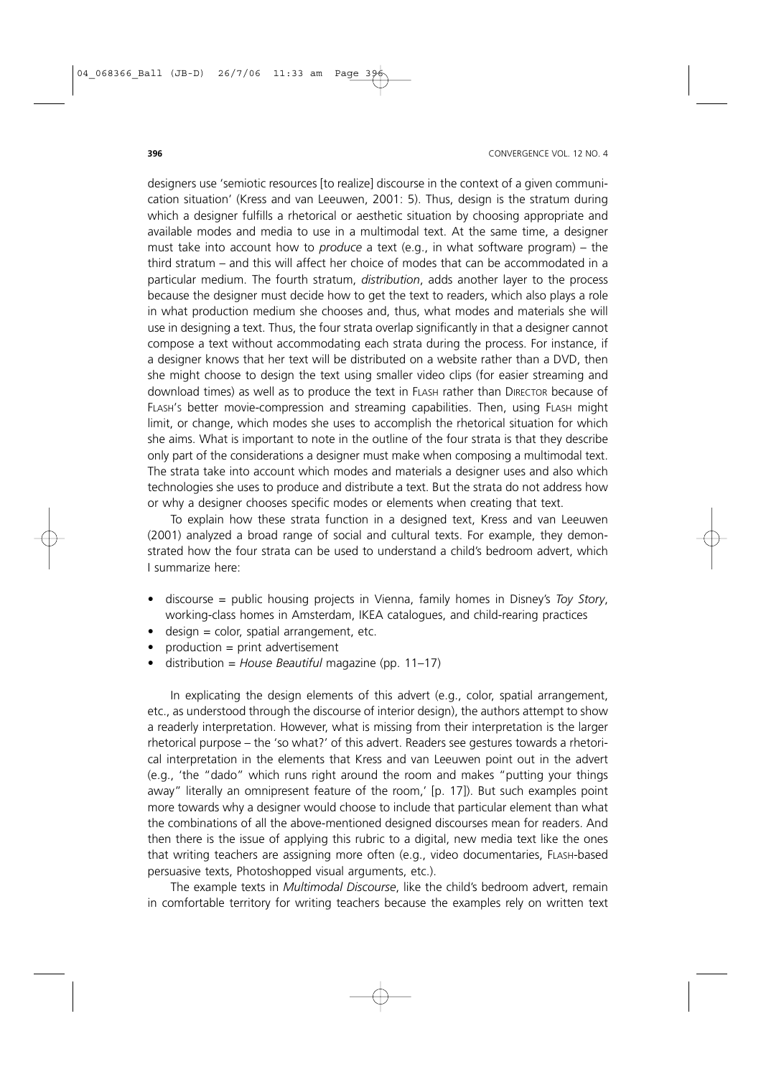designers use 'semiotic resources [to realize] discourse in the context of a given communication situation' (Kress and van Leeuwen, 2001: 5). Thus, design is the stratum during which a designer fulfills a rhetorical or aesthetic situation by choosing appropriate and available modes and media to use in a multimodal text. At the same time, a designer must take into account how to *produce* a text (e.g., in what software program) – the third stratum – and this will affect her choice of modes that can be accommodated in a particular medium. The fourth stratum, *distribution*, adds another layer to the process because the designer must decide how to get the text to readers, which also plays a role in what production medium she chooses and, thus, what modes and materials she will use in designing a text. Thus, the four strata overlap significantly in that a designer cannot compose a text without accommodating each strata during the process. For instance, if a designer knows that her text will be distributed on a website rather than a DVD, then she might choose to design the text using smaller video clips (for easier streaming and download times) as well as to produce the text in FLASH rather than DIRECTOR because of FLASH'S better movie-compression and streaming capabilities. Then, using FLASH might limit, or change, which modes she uses to accomplish the rhetorical situation for which she aims. What is important to note in the outline of the four strata is that they describe only part of the considerations a designer must make when composing a multimodal text. The strata take into account which modes and materials a designer uses and also which technologies she uses to produce and distribute a text. But the strata do not address how or why a designer chooses specific modes or elements when creating that text.

To explain how these strata function in a designed text, Kress and van Leeuwen (2001) analyzed a broad range of social and cultural texts. For example, they demonstrated how the four strata can be used to understand a child's bedroom advert, which I summarize here:

- discourse = public housing projects in Vienna, family homes in Disney's *Toy Story*, working-class homes in Amsterdam, IKEA catalogues, and child-rearing practices
- $design = color$ , spatial arrangement, etc.
- $production = print$  advertisement
- distribution = *House Beautiful* magazine (pp. 11–17)

In explicating the design elements of this advert (e.g., color, spatial arrangement, etc., as understood through the discourse of interior design), the authors attempt to show a readerly interpretation. However, what is missing from their interpretation is the larger rhetorical purpose – the 'so what?' of this advert. Readers see gestures towards a rhetorical interpretation in the elements that Kress and van Leeuwen point out in the advert (e.g., 'the "dado" which runs right around the room and makes "putting your things away" literally an omnipresent feature of the room,' [p. 17]). But such examples point more towards why a designer would choose to include that particular element than what the combinations of all the above-mentioned designed discourses mean for readers. And then there is the issue of applying this rubric to a digital, new media text like the ones that writing teachers are assigning more often (e.g., video documentaries, FLASH-based persuasive texts, Photoshopped visual arguments, etc.).

The example texts in *Multimodal Discourse*, like the child's bedroom advert, remain in comfortable territory for writing teachers because the examples rely on written text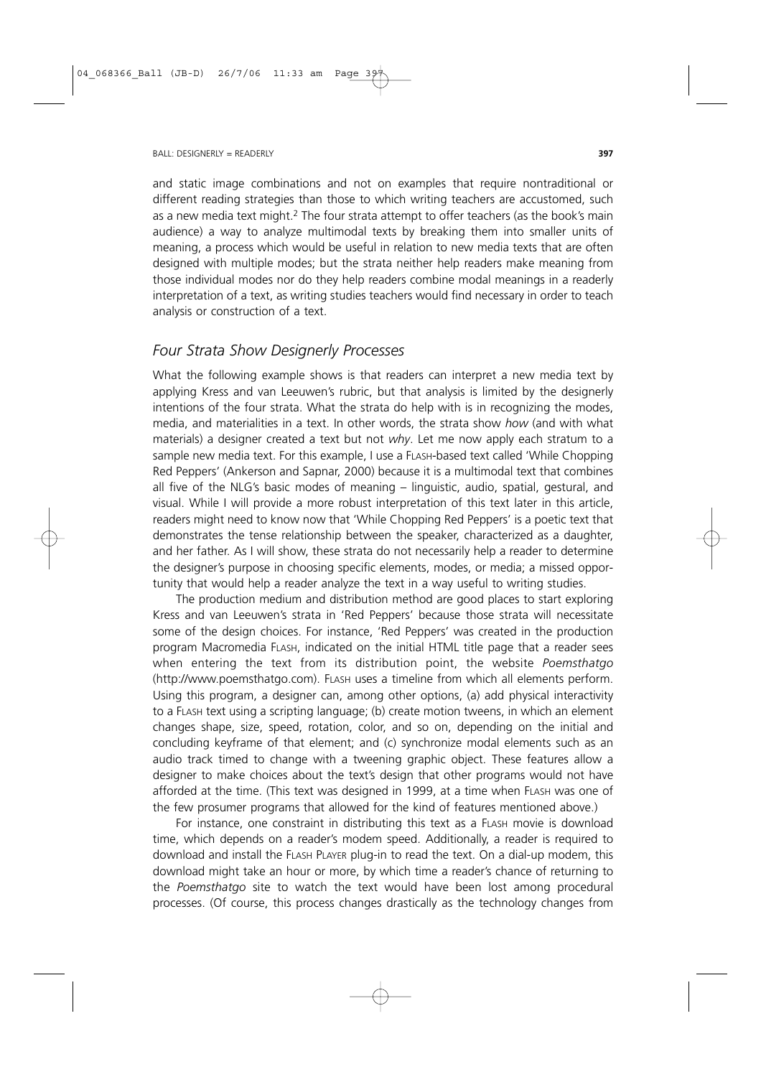and static image combinations and not on examples that require nontraditional or different reading strategies than those to which writing teachers are accustomed, such as a new media text might.<sup>2</sup> The four strata attempt to offer teachers (as the book's main audience) a way to analyze multimodal texts by breaking them into smaller units of meaning, a process which would be useful in relation to new media texts that are often designed with multiple modes; but the strata neither help readers make meaning from those individual modes nor do they help readers combine modal meanings in a readerly interpretation of a text, as writing studies teachers would find necessary in order to teach analysis or construction of a text.

### *Four Strata Show Designerly Processes*

What the following example shows is that readers can interpret a new media text by applying Kress and van Leeuwen's rubric, but that analysis is limited by the designerly intentions of the four strata. What the strata do help with is in recognizing the modes, media, and materialities in a text. In other words, the strata show *how* (and with what materials) a designer created a text but not *why*. Let me now apply each stratum to a sample new media text. For this example, I use a FLASH-based text called 'While Chopping Red Peppers' (Ankerson and Sapnar, 2000) because it is a multimodal text that combines all five of the NLG's basic modes of meaning – linguistic, audio, spatial, gestural, and visual. While I will provide a more robust interpretation of this text later in this article, readers might need to know now that 'While Chopping Red Peppers' is a poetic text that demonstrates the tense relationship between the speaker, characterized as a daughter, and her father. As I will show, these strata do not necessarily help a reader to determine the designer's purpose in choosing specific elements, modes, or media; a missed opportunity that would help a reader analyze the text in a way useful to writing studies.

The production medium and distribution method are good places to start exploring Kress and van Leeuwen's strata in 'Red Peppers' because those strata will necessitate some of the design choices. For instance, 'Red Peppers' was created in the production program Macromedia FLASH, indicated on the initial HTML title page that a reader sees when entering the text from its distribution point, the website *Poemsthatgo* (http://www.poemsthatgo.com). FLASH uses a timeline from which all elements perform. Using this program, a designer can, among other options, (a) add physical interactivity to a FLASH text using a scripting language; (b) create motion tweens, in which an element changes shape, size, speed, rotation, color, and so on, depending on the initial and concluding keyframe of that element; and (c) synchronize modal elements such as an audio track timed to change with a tweening graphic object. These features allow a designer to make choices about the text's design that other programs would not have afforded at the time. (This text was designed in 1999, at a time when FLASH was one of the few prosumer programs that allowed for the kind of features mentioned above.)

For instance, one constraint in distributing this text as a FLASH movie is download time, which depends on a reader's modem speed. Additionally, a reader is required to download and install the FLASH PLAYER plug-in to read the text. On a dial-up modem, this download might take an hour or more, by which time a reader's chance of returning to the *Poemsthatgo* site to watch the text would have been lost among procedural processes. (Of course, this process changes drastically as the technology changes from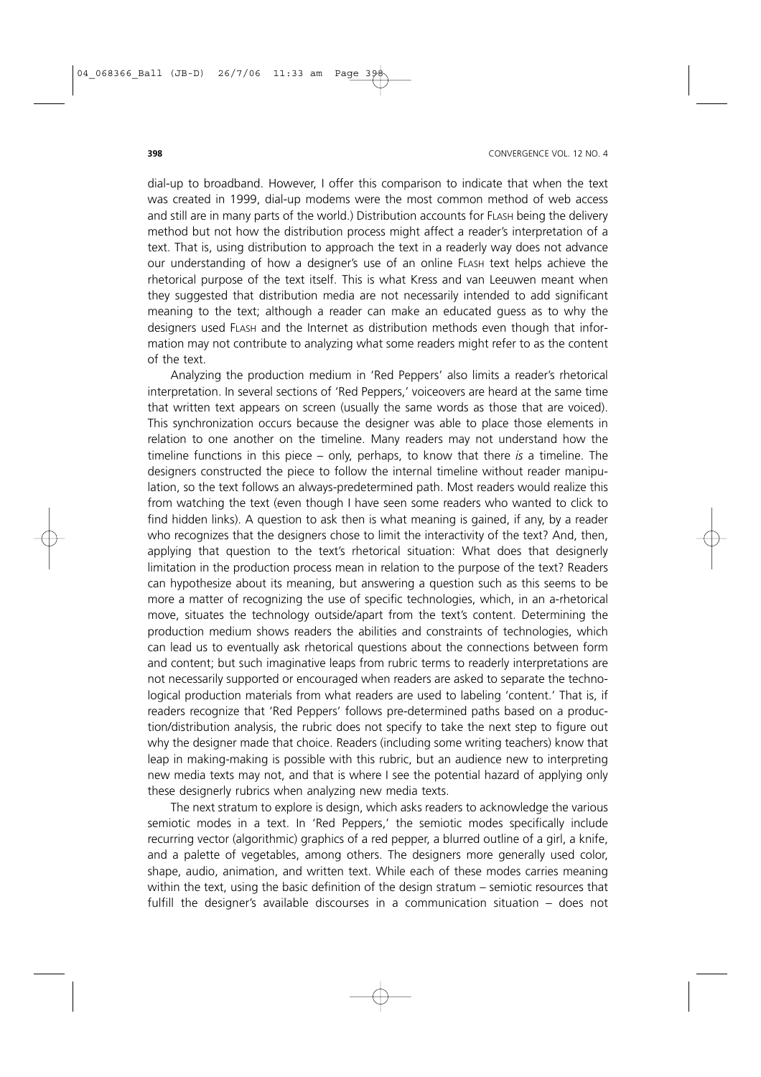dial-up to broadband. However, I offer this comparison to indicate that when the text was created in 1999, dial-up modems were the most common method of web access and still are in many parts of the world.) Distribution accounts for FLASH being the delivery method but not how the distribution process might affect a reader's interpretation of a text. That is, using distribution to approach the text in a readerly way does not advance our understanding of how a designer's use of an online FLASH text helps achieve the rhetorical purpose of the text itself. This is what Kress and van Leeuwen meant when they suggested that distribution media are not necessarily intended to add significant meaning to the text; although a reader can make an educated guess as to why the designers used FLASH and the Internet as distribution methods even though that information may not contribute to analyzing what some readers might refer to as the content of the text.

Analyzing the production medium in 'Red Peppers' also limits a reader's rhetorical interpretation. In several sections of 'Red Peppers,' voiceovers are heard at the same time that written text appears on screen (usually the same words as those that are voiced). This synchronization occurs because the designer was able to place those elements in relation to one another on the timeline. Many readers may not understand how the timeline functions in this piece – only, perhaps, to know that there *is* a timeline. The designers constructed the piece to follow the internal timeline without reader manipulation, so the text follows an always-predetermined path. Most readers would realize this from watching the text (even though I have seen some readers who wanted to click to find hidden links). A question to ask then is what meaning is gained, if any, by a reader who recognizes that the designers chose to limit the interactivity of the text? And, then, applying that question to the text's rhetorical situation: What does that designerly limitation in the production process mean in relation to the purpose of the text? Readers can hypothesize about its meaning, but answering a question such as this seems to be more a matter of recognizing the use of specific technologies, which, in an a-rhetorical move, situates the technology outside/apart from the text's content. Determining the production medium shows readers the abilities and constraints of technologies, which can lead us to eventually ask rhetorical questions about the connections between form and content; but such imaginative leaps from rubric terms to readerly interpretations are not necessarily supported or encouraged when readers are asked to separate the technological production materials from what readers are used to labeling 'content.' That is, if readers recognize that 'Red Peppers' follows pre-determined paths based on a production/distribution analysis, the rubric does not specify to take the next step to figure out why the designer made that choice. Readers (including some writing teachers) know that leap in making-making is possible with this rubric, but an audience new to interpreting new media texts may not, and that is where I see the potential hazard of applying only these designerly rubrics when analyzing new media texts.

The next stratum to explore is design, which asks readers to acknowledge the various semiotic modes in a text. In 'Red Peppers,' the semiotic modes specifically include recurring vector (algorithmic) graphics of a red pepper, a blurred outline of a girl, a knife, and a palette of vegetables, among others. The designers more generally used color, shape, audio, animation, and written text. While each of these modes carries meaning within the text, using the basic definition of the design stratum – semiotic resources that fulfill the designer's available discourses in a communication situation – does not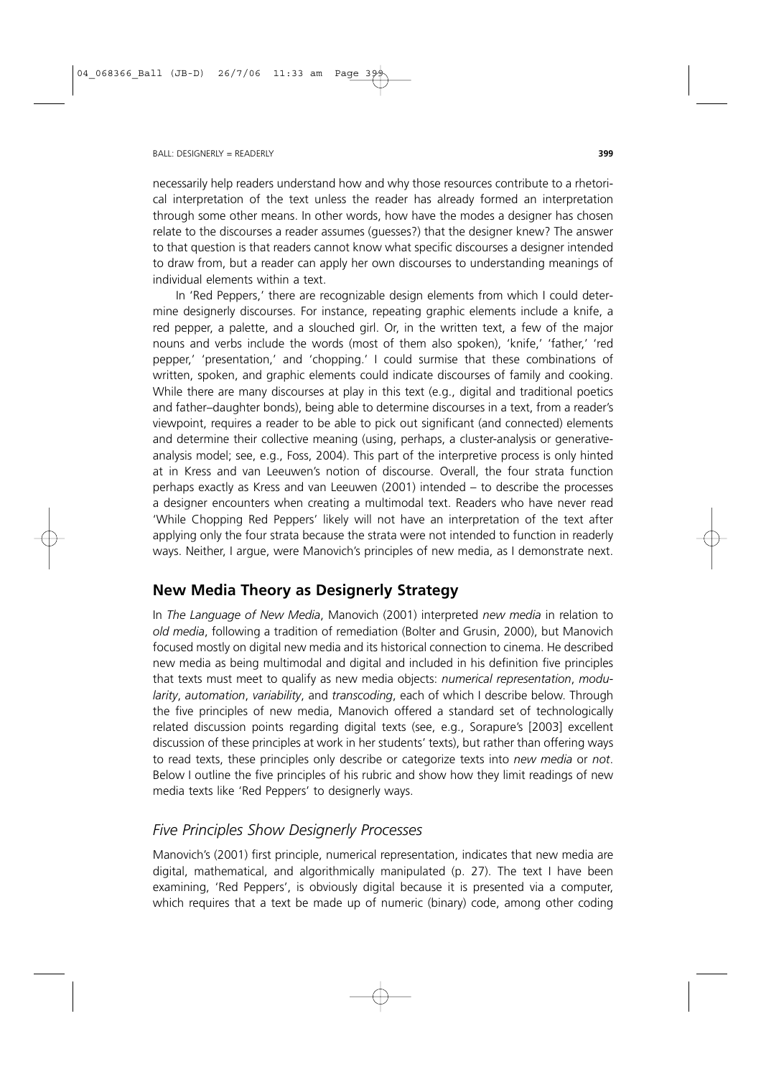necessarily help readers understand how and why those resources contribute to a rhetorical interpretation of the text unless the reader has already formed an interpretation through some other means. In other words, how have the modes a designer has chosen relate to the discourses a reader assumes (guesses?) that the designer knew? The answer to that question is that readers cannot know what specific discourses a designer intended to draw from, but a reader can apply her own discourses to understanding meanings of individual elements within a text.

In 'Red Peppers,' there are recognizable design elements from which I could determine designerly discourses. For instance, repeating graphic elements include a knife, a red pepper, a palette, and a slouched girl. Or, in the written text, a few of the major nouns and verbs include the words (most of them also spoken), 'knife,' 'father,' 'red pepper,' 'presentation,' and 'chopping.' I could surmise that these combinations of written, spoken, and graphic elements could indicate discourses of family and cooking. While there are many discourses at play in this text (e.g., digital and traditional poetics and father–daughter bonds), being able to determine discourses in a text, from a reader's viewpoint, requires a reader to be able to pick out significant (and connected) elements and determine their collective meaning (using, perhaps, a cluster-analysis or generativeanalysis model; see, e.g., Foss, 2004). This part of the interpretive process is only hinted at in Kress and van Leeuwen's notion of discourse. Overall, the four strata function perhaps exactly as Kress and van Leeuwen (2001) intended – to describe the processes a designer encounters when creating a multimodal text. Readers who have never read 'While Chopping Red Peppers' likely will not have an interpretation of the text after applying only the four strata because the strata were not intended to function in readerly ways. Neither, I argue, were Manovich's principles of new media, as I demonstrate next.

### **New Media Theory as Designerly Strategy**

In *The Language of New Media*, Manovich (2001) interpreted *new media* in relation to *old media*, following a tradition of remediation (Bolter and Grusin, 2000), but Manovich focused mostly on digital new media and its historical connection to cinema. He described new media as being multimodal and digital and included in his definition five principles that texts must meet to qualify as new media objects: *numerical representation*, *modularity*, *automation*, *variability*, and *transcoding*, each of which I describe below. Through the five principles of new media, Manovich offered a standard set of technologically related discussion points regarding digital texts (see, e.g., Sorapure's [2003] excellent discussion of these principles at work in her students' texts), but rather than offering ways to read texts, these principles only describe or categorize texts into *new media* or *not*. Below I outline the five principles of his rubric and show how they limit readings of new media texts like 'Red Peppers' to designerly ways.

### *Five Principles Show Designerly Processes*

Manovich's (2001) first principle, numerical representation, indicates that new media are digital, mathematical, and algorithmically manipulated (p. 27). The text I have been examining, 'Red Peppers', is obviously digital because it is presented via a computer, which requires that a text be made up of numeric (binary) code, among other coding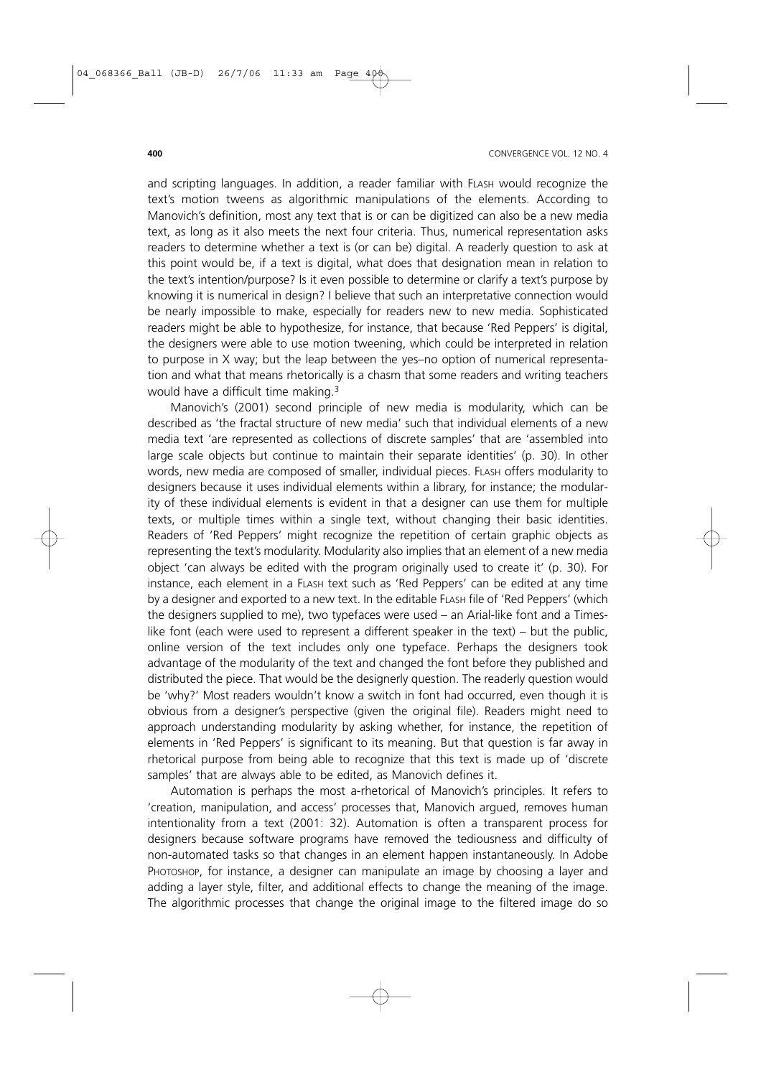and scripting languages. In addition, a reader familiar with FLASH would recognize the text's motion tweens as algorithmic manipulations of the elements. According to Manovich's definition, most any text that is or can be digitized can also be a new media text, as long as it also meets the next four criteria. Thus, numerical representation asks readers to determine whether a text is (or can be) digital. A readerly question to ask at this point would be, if a text is digital, what does that designation mean in relation to the text's intention/purpose? Is it even possible to determine or clarify a text's purpose by knowing it is numerical in design? I believe that such an interpretative connection would be nearly impossible to make, especially for readers new to new media. Sophisticated readers might be able to hypothesize, for instance, that because 'Red Peppers' is digital, the designers were able to use motion tweening, which could be interpreted in relation to purpose in X way; but the leap between the yes–no option of numerical representation and what that means rhetorically is a chasm that some readers and writing teachers would have a difficult time making.3

Manovich's (2001) second principle of new media is modularity, which can be described as 'the fractal structure of new media' such that individual elements of a new media text 'are represented as collections of discrete samples' that are 'assembled into large scale objects but continue to maintain their separate identities' (p. 30). In other words, new media are composed of smaller, individual pieces. FLASH offers modularity to designers because it uses individual elements within a library, for instance; the modularity of these individual elements is evident in that a designer can use them for multiple texts, or multiple times within a single text, without changing their basic identities. Readers of 'Red Peppers' might recognize the repetition of certain graphic objects as representing the text's modularity. Modularity also implies that an element of a new media object 'can always be edited with the program originally used to create it' (p. 30). For instance, each element in a FLASH text such as 'Red Peppers' can be edited at any time by a designer and exported to a new text. In the editable FLASH file of 'Red Peppers' (which the designers supplied to me), two typefaces were used – an Arial-like font and a Timeslike font (each were used to represent a different speaker in the text) – but the public, online version of the text includes only one typeface. Perhaps the designers took advantage of the modularity of the text and changed the font before they published and distributed the piece. That would be the designerly question. The readerly question would be 'why?' Most readers wouldn't know a switch in font had occurred, even though it is obvious from a designer's perspective (given the original file). Readers might need to approach understanding modularity by asking whether, for instance, the repetition of elements in 'Red Peppers' is significant to its meaning. But that question is far away in rhetorical purpose from being able to recognize that this text is made up of 'discrete samples' that are always able to be edited, as Manovich defines it.

Automation is perhaps the most a-rhetorical of Manovich's principles. It refers to 'creation, manipulation, and access' processes that, Manovich argued, removes human intentionality from a text (2001: 32). Automation is often a transparent process for designers because software programs have removed the tediousness and difficulty of non-automated tasks so that changes in an element happen instantaneously. In Adobe PHOTOSHOP, for instance, a designer can manipulate an image by choosing a layer and adding a layer style, filter, and additional effects to change the meaning of the image. The algorithmic processes that change the original image to the filtered image do so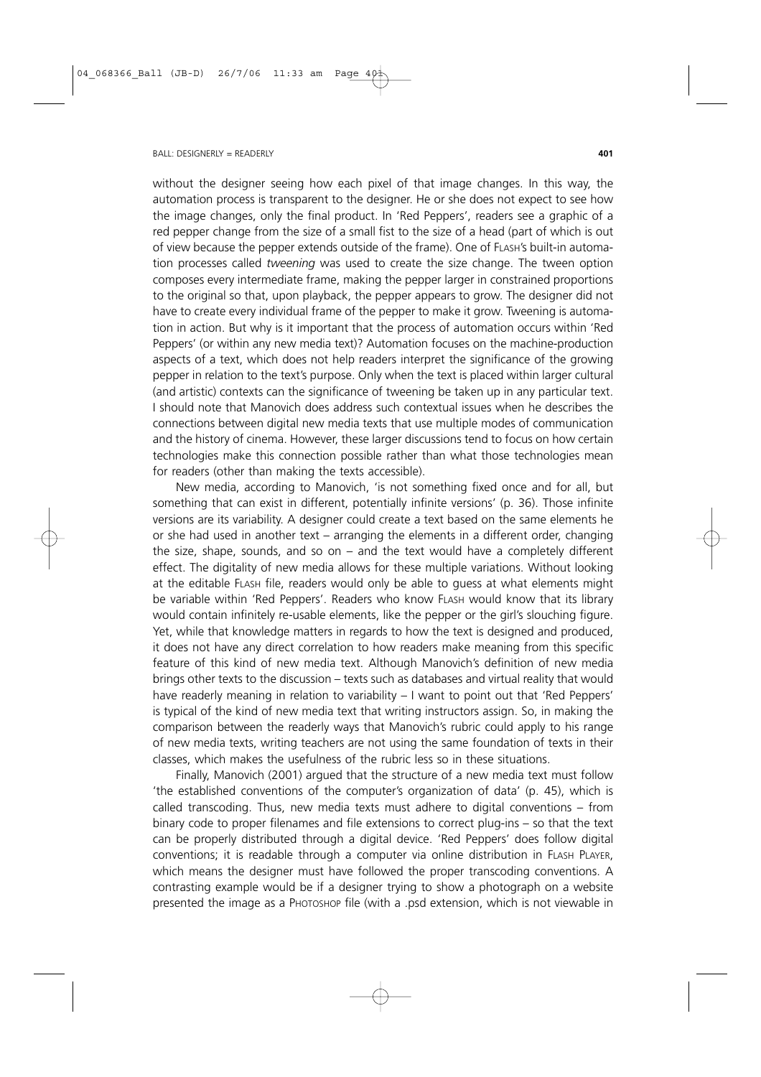without the designer seeing how each pixel of that image changes. In this way, the automation process is transparent to the designer. He or she does not expect to see how the image changes, only the final product. In 'Red Peppers', readers see a graphic of a red pepper change from the size of a small fist to the size of a head (part of which is out of view because the pepper extends outside of the frame). One of FLASH's built-in automation processes called *tweening* was used to create the size change. The tween option composes every intermediate frame, making the pepper larger in constrained proportions to the original so that, upon playback, the pepper appears to grow. The designer did not have to create every individual frame of the pepper to make it grow. Tweening is automation in action. But why is it important that the process of automation occurs within 'Red Peppers' (or within any new media text)? Automation focuses on the machine-production aspects of a text, which does not help readers interpret the significance of the growing pepper in relation to the text's purpose. Only when the text is placed within larger cultural (and artistic) contexts can the significance of tweening be taken up in any particular text. I should note that Manovich does address such contextual issues when he describes the connections between digital new media texts that use multiple modes of communication and the history of cinema. However, these larger discussions tend to focus on how certain technologies make this connection possible rather than what those technologies mean for readers (other than making the texts accessible).

New media, according to Manovich, 'is not something fixed once and for all, but something that can exist in different, potentially infinite versions' (p. 36). Those infinite versions are its variability. A designer could create a text based on the same elements he or she had used in another text – arranging the elements in a different order, changing the size, shape, sounds, and so on – and the text would have a completely different effect. The digitality of new media allows for these multiple variations. Without looking at the editable FLASH file, readers would only be able to guess at what elements might be variable within 'Red Peppers'. Readers who know FLASH would know that its library would contain infinitely re-usable elements, like the pepper or the girl's slouching figure. Yet, while that knowledge matters in regards to how the text is designed and produced, it does not have any direct correlation to how readers make meaning from this specific feature of this kind of new media text. Although Manovich's definition of new media brings other texts to the discussion – texts such as databases and virtual reality that would have readerly meaning in relation to variability – I want to point out that 'Red Peppers' is typical of the kind of new media text that writing instructors assign. So, in making the comparison between the readerly ways that Manovich's rubric could apply to his range of new media texts, writing teachers are not using the same foundation of texts in their classes, which makes the usefulness of the rubric less so in these situations.

Finally, Manovich (2001) argued that the structure of a new media text must follow 'the established conventions of the computer's organization of data' (p. 45), which is called transcoding. Thus, new media texts must adhere to digital conventions – from binary code to proper filenames and file extensions to correct plug-ins – so that the text can be properly distributed through a digital device. 'Red Peppers' does follow digital conventions; it is readable through a computer via online distribution in FLASH PLAYER, which means the designer must have followed the proper transcoding conventions. A contrasting example would be if a designer trying to show a photograph on a website presented the image as a PHOTOSHOP file (with a .psd extension, which is not viewable in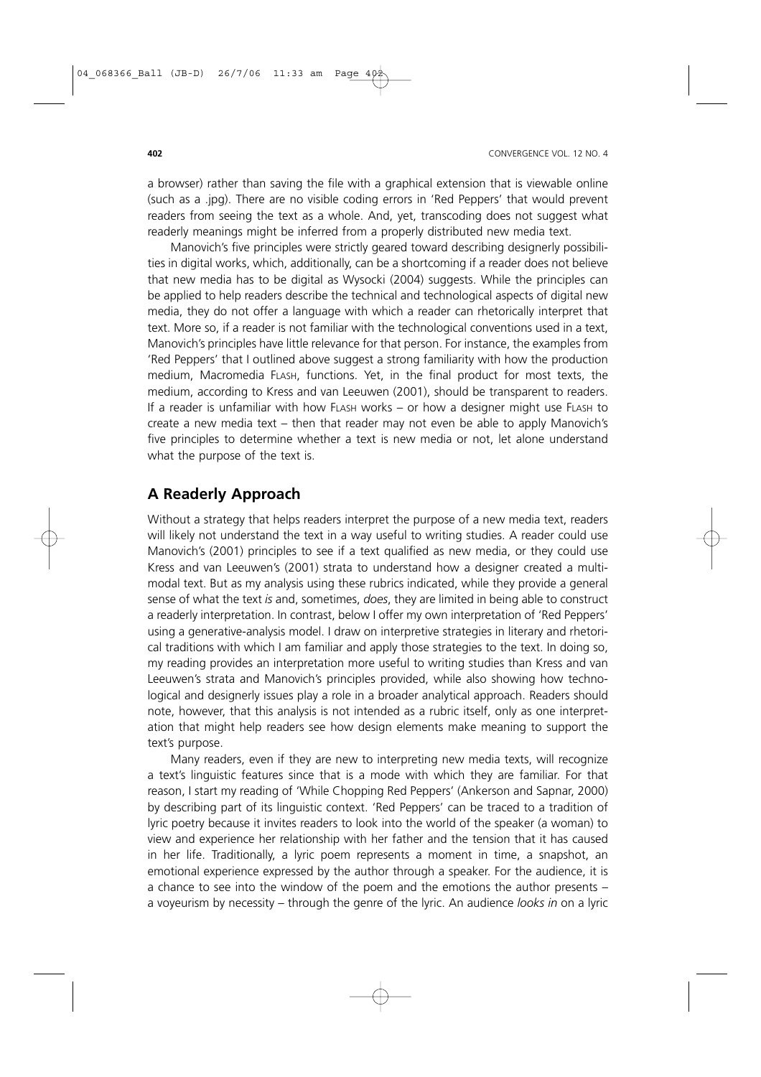a browser) rather than saving the file with a graphical extension that is viewable online (such as a .jpg). There are no visible coding errors in 'Red Peppers' that would prevent readers from seeing the text as a whole. And, yet, transcoding does not suggest what readerly meanings might be inferred from a properly distributed new media text.

Manovich's five principles were strictly geared toward describing designerly possibilities in digital works, which, additionally, can be a shortcoming if a reader does not believe that new media has to be digital as Wysocki (2004) suggests. While the principles can be applied to help readers describe the technical and technological aspects of digital new media, they do not offer a language with which a reader can rhetorically interpret that text. More so, if a reader is not familiar with the technological conventions used in a text, Manovich's principles have little relevance for that person. For instance, the examples from 'Red Peppers' that I outlined above suggest a strong familiarity with how the production medium, Macromedia FLASH, functions. Yet, in the final product for most texts, the medium, according to Kress and van Leeuwen (2001), should be transparent to readers. If a reader is unfamiliar with how FLASH works – or how a designer might use FLASH to create a new media text – then that reader may not even be able to apply Manovich's five principles to determine whether a text is new media or not, let alone understand what the purpose of the text is.

## **A Readerly Approach**

Without a strategy that helps readers interpret the purpose of a new media text, readers will likely not understand the text in a way useful to writing studies. A reader could use Manovich's (2001) principles to see if a text qualified as new media, or they could use Kress and van Leeuwen's (2001) strata to understand how a designer created a multimodal text. But as my analysis using these rubrics indicated, while they provide a general sense of what the text *is* and, sometimes, *does*, they are limited in being able to construct a readerly interpretation. In contrast, below I offer my own interpretation of 'Red Peppers' using a generative-analysis model. I draw on interpretive strategies in literary and rhetorical traditions with which I am familiar and apply those strategies to the text. In doing so, my reading provides an interpretation more useful to writing studies than Kress and van Leeuwen's strata and Manovich's principles provided, while also showing how technological and designerly issues play a role in a broader analytical approach. Readers should note, however, that this analysis is not intended as a rubric itself, only as one interpretation that might help readers see how design elements make meaning to support the text's purpose.

Many readers, even if they are new to interpreting new media texts, will recognize a text's linguistic features since that is a mode with which they are familiar. For that reason, I start my reading of 'While Chopping Red Peppers' (Ankerson and Sapnar, 2000) by describing part of its linguistic context. 'Red Peppers' can be traced to a tradition of lyric poetry because it invites readers to look into the world of the speaker (a woman) to view and experience her relationship with her father and the tension that it has caused in her life. Traditionally, a lyric poem represents a moment in time, a snapshot, an emotional experience expressed by the author through a speaker. For the audience, it is a chance to see into the window of the poem and the emotions the author presents – a voyeurism by necessity – through the genre of the lyric. An audience *looks in* on a lyric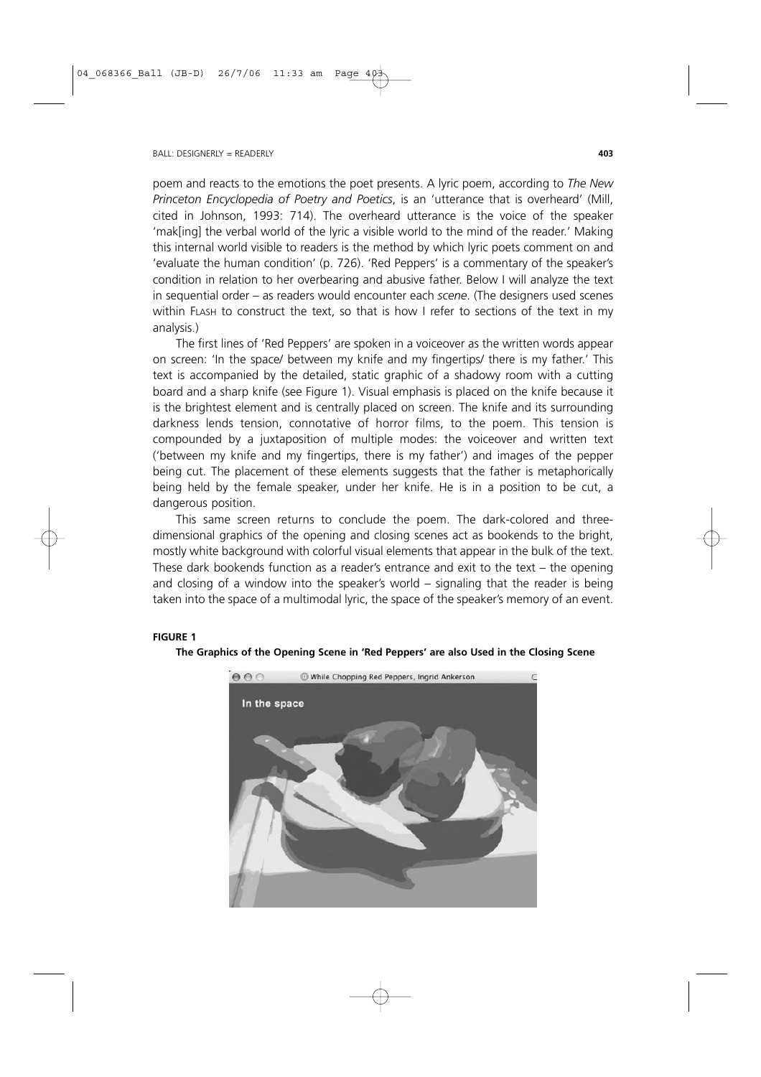poem and reacts to the emotions the poet presents. A lyric poem, according to *The New Princeton Encyclopedia of Poetry and Poetics*, is an 'utterance that is overheard' (Mill, cited in Johnson, 1993: 714). The overheard utterance is the voice of the speaker 'mak[ing] the verbal world of the lyric a visible world to the mind of the reader.' Making this internal world visible to readers is the method by which lyric poets comment on and 'evaluate the human condition' (p. 726). 'Red Peppers' is a commentary of the speaker's condition in relation to her overbearing and abusive father. Below I will analyze the text in sequential order – as readers would encounter each *scene*. (The designers used scenes within FLASH to construct the text, so that is how I refer to sections of the text in my analysis.)

The first lines of 'Red Peppers' are spoken in a voiceover as the written words appear on screen: 'In the space/ between my knife and my fingertips/ there is my father.' This text is accompanied by the detailed, static graphic of a shadowy room with a cutting board and a sharp knife (see Figure 1). Visual emphasis is placed on the knife because it is the brightest element and is centrally placed on screen. The knife and its surrounding darkness lends tension, connotative of horror films, to the poem. This tension is compounded by a juxtaposition of multiple modes: the voiceover and written text ('between my knife and my fingertips, there is my father') and images of the pepper being cut. The placement of these elements suggests that the father is metaphorically being held by the female speaker, under her knife. He is in a position to be cut, a dangerous position.

This same screen returns to conclude the poem. The dark-colored and threedimensional graphics of the opening and closing scenes act as bookends to the bright, mostly white background with colorful visual elements that appear in the bulk of the text. These dark bookends function as a reader's entrance and exit to the text – the opening and closing of a window into the speaker's world – signaling that the reader is being taken into the space of a multimodal lyric, the space of the speaker's memory of an event.

### **FIGURE 1**



### **The Graphics of the Opening Scene in 'Red Peppers' are also Used in the Closing Scene**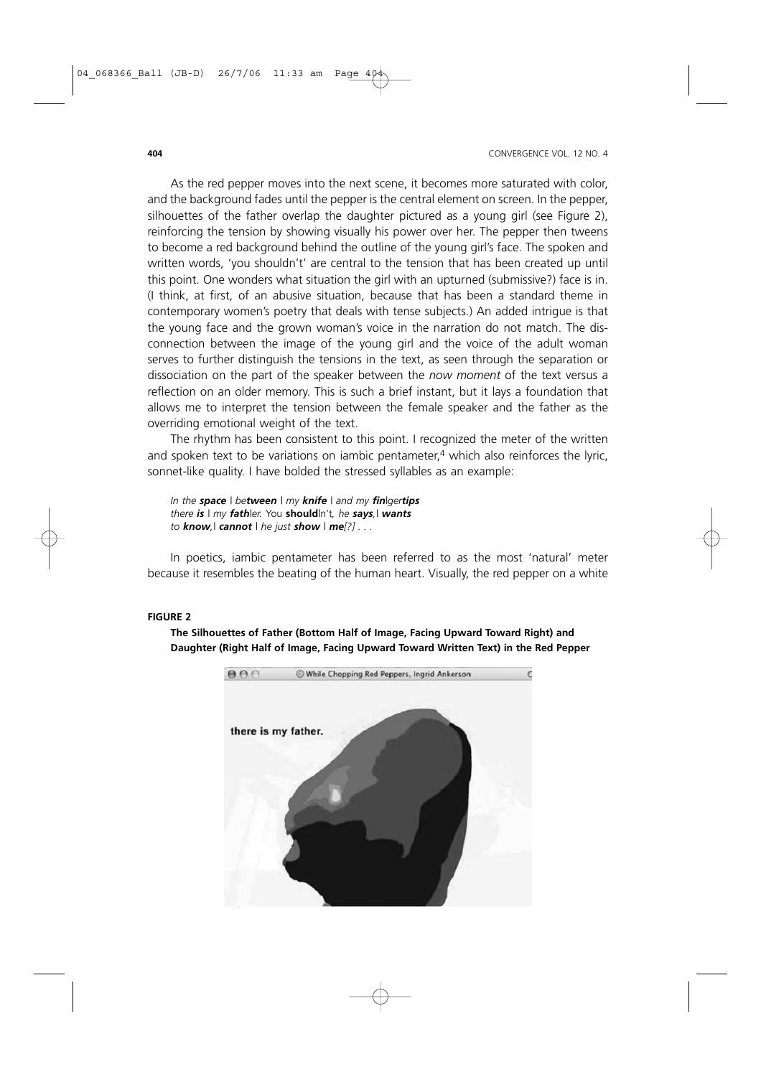As the red pepper moves into the next scene, it becomes more saturated with color, and the background fades until the pepper is the central element on screen. In the pepper, silhouettes of the father overlap the daughter pictured as a young girl (see Figure 2), reinforcing the tension by showing visually his power over her. The pepper then tweens to become a red background behind the outline of the young girl's face. The spoken and written words, 'you shouldn't' are central to the tension that has been created up until this point. One wonders what situation the girl with an upturned (submissive?) face is in. (I think, at first, of an abusive situation, because that has been a standard theme in contemporary women's poetry that deals with tense subjects.) An added intrigue is that the young face and the grown woman's voice in the narration do not match. The disconnection between the image of the young girl and the voice of the adult woman serves to further distinguish the tensions in the text, as seen through the separation or dissociation on the part of the speaker between the *now moment* of the text versus a reflection on an older memory. This is such a brief instant, but it lays a foundation that allows me to interpret the tension between the female speaker and the father as the overriding emotional weight of the text.

The rhythm has been consistent to this point. I recognized the meter of the written and spoken text to be variations on iambic pentameter, $4$  which also reinforces the lyric, sonnet-like quality. I have bolded the stressed syllables as an example:

*In the space | between | my knife | and my fin|gertips there is | my fath|er.* You **should***|*n't*, he says,| wants to know,| cannot | he just show | me[?] . . .*

In poetics, iambic pentameter has been referred to as the most 'natural' meter because it resembles the beating of the human heart. Visually, the red pepper on a white

#### **FIGURE 2**

**The Silhouettes of Father (Bottom Half of Image, Facing Upward Toward Right) and Daughter (Right Half of Image, Facing Upward Toward Written Text) in the Red Pepper**

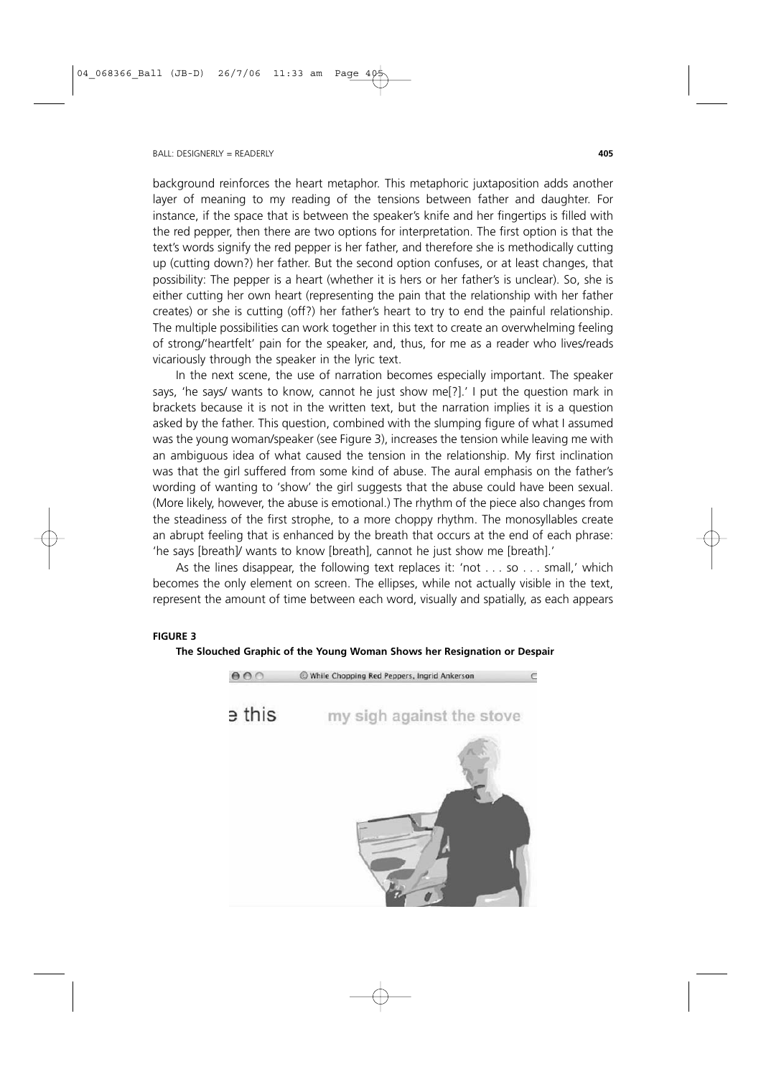background reinforces the heart metaphor. This metaphoric juxtaposition adds another layer of meaning to my reading of the tensions between father and daughter. For instance, if the space that is between the speaker's knife and her fingertips is filled with the red pepper, then there are two options for interpretation. The first option is that the text's words signify the red pepper is her father, and therefore she is methodically cutting up (cutting down?) her father. But the second option confuses, or at least changes, that possibility: The pepper is a heart (whether it is hers or her father's is unclear). So, she is either cutting her own heart (representing the pain that the relationship with her father creates) or she is cutting (off?) her father's heart to try to end the painful relationship. The multiple possibilities can work together in this text to create an overwhelming feeling of strong/'heartfelt' pain for the speaker, and, thus, for me as a reader who lives/reads vicariously through the speaker in the lyric text.

In the next scene, the use of narration becomes especially important. The speaker says, 'he says/ wants to know, cannot he just show me[?].' I put the question mark in brackets because it is not in the written text, but the narration implies it is a question asked by the father. This question, combined with the slumping figure of what I assumed was the young woman/speaker (see Figure 3), increases the tension while leaving me with an ambiguous idea of what caused the tension in the relationship. My first inclination was that the girl suffered from some kind of abuse. The aural emphasis on the father's wording of wanting to 'show' the girl suggests that the abuse could have been sexual. (More likely, however, the abuse is emotional.) The rhythm of the piece also changes from the steadiness of the first strophe, to a more choppy rhythm. The monosyllables create an abrupt feeling that is enhanced by the breath that occurs at the end of each phrase: 'he says [breath]/ wants to know [breath], cannot he just show me [breath].'

As the lines disappear, the following text replaces it: 'not . . . so . . . small,' which becomes the only element on screen. The ellipses, while not actually visible in the text, represent the amount of time between each word, visually and spatially, as each appears

### **FIGURE 3**

### **The Slouched Graphic of the Young Woman Shows her Resignation or Despair**

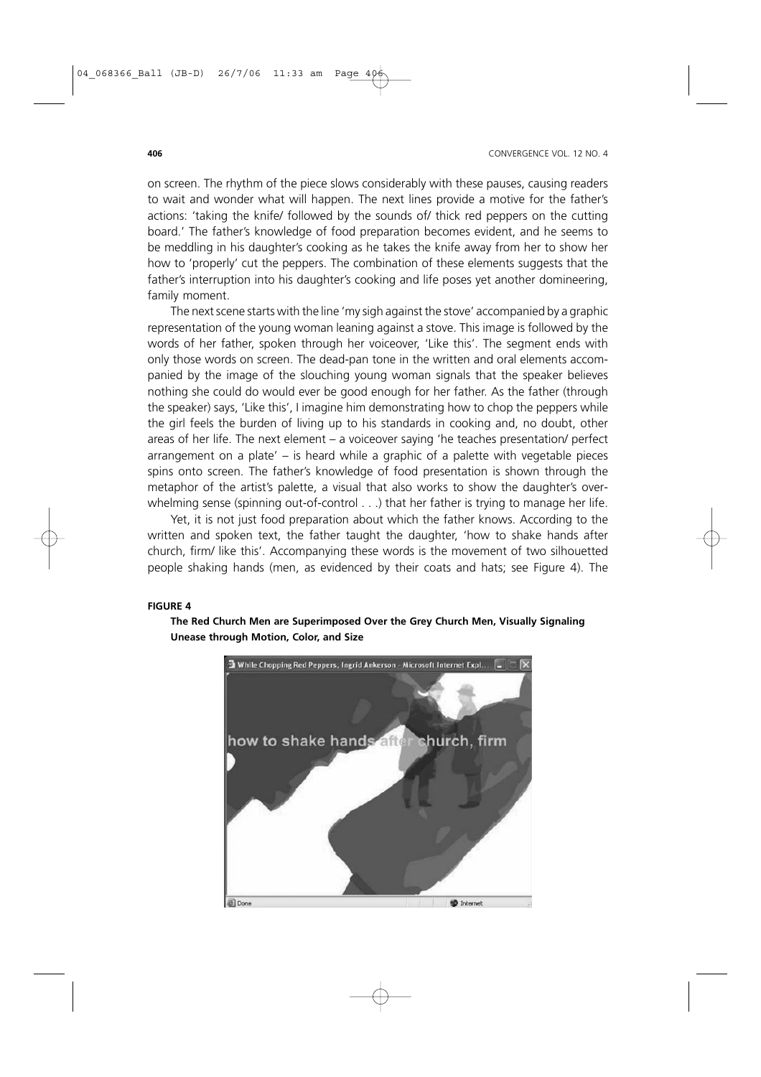on screen. The rhythm of the piece slows considerably with these pauses, causing readers to wait and wonder what will happen. The next lines provide a motive for the father's actions: 'taking the knife/ followed by the sounds of/ thick red peppers on the cutting board.' The father's knowledge of food preparation becomes evident, and he seems to be meddling in his daughter's cooking as he takes the knife away from her to show her how to 'properly' cut the peppers. The combination of these elements suggests that the father's interruption into his daughter's cooking and life poses yet another domineering, family moment.

The next scene starts with the line 'my sigh against the stove' accompanied by a graphic representation of the young woman leaning against a stove. This image is followed by the words of her father, spoken through her voiceover, 'Like this'. The segment ends with only those words on screen. The dead-pan tone in the written and oral elements accompanied by the image of the slouching young woman signals that the speaker believes nothing she could do would ever be good enough for her father. As the father (through the speaker) says, 'Like this', I imagine him demonstrating how to chop the peppers while the girl feels the burden of living up to his standards in cooking and, no doubt, other areas of her life. The next element – a voiceover saying 'he teaches presentation/ perfect arrangement on a plate'  $-$  is heard while a graphic of a palette with vegetable pieces spins onto screen. The father's knowledge of food presentation is shown through the metaphor of the artist's palette, a visual that also works to show the daughter's overwhelming sense (spinning out-of-control . . .) that her father is trying to manage her life.

Yet, it is not just food preparation about which the father knows. According to the written and spoken text, the father taught the daughter, 'how to shake hands after church, firm/ like this'. Accompanying these words is the movement of two silhouetted people shaking hands (men, as evidenced by their coats and hats; see Figure 4). The

#### **FIGURE 4**

**The Red Church Men are Superimposed Over the Grey Church Men, Visually Signaling Unease through Motion, Color, and Size**

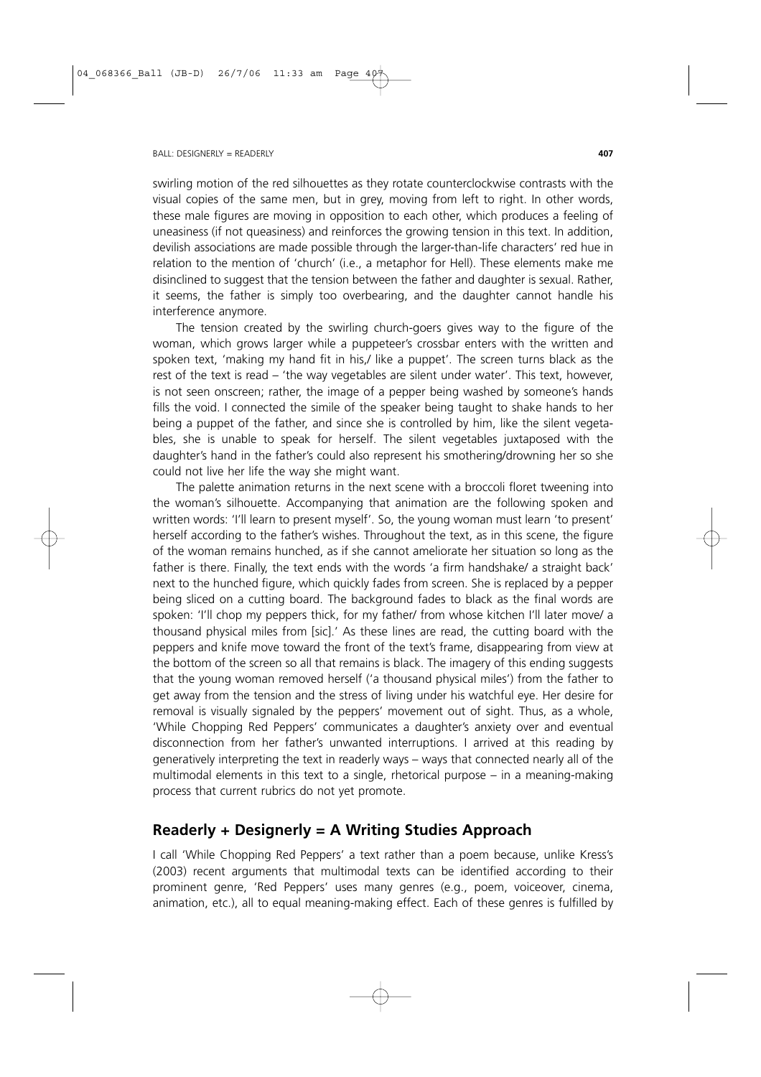swirling motion of the red silhouettes as they rotate counterclockwise contrasts with the visual copies of the same men, but in grey, moving from left to right. In other words, these male figures are moving in opposition to each other, which produces a feeling of uneasiness (if not queasiness) and reinforces the growing tension in this text. In addition, devilish associations are made possible through the larger-than-life characters' red hue in relation to the mention of 'church' (i.e., a metaphor for Hell). These elements make me disinclined to suggest that the tension between the father and daughter is sexual. Rather, it seems, the father is simply too overbearing, and the daughter cannot handle his interference anymore.

The tension created by the swirling church-goers gives way to the figure of the woman, which grows larger while a puppeteer's crossbar enters with the written and spoken text, 'making my hand fit in his,/ like a puppet'. The screen turns black as the rest of the text is read – 'the way vegetables are silent under water'. This text, however, is not seen onscreen; rather, the image of a pepper being washed by someone's hands fills the void. I connected the simile of the speaker being taught to shake hands to her being a puppet of the father, and since she is controlled by him, like the silent vegetables, she is unable to speak for herself. The silent vegetables juxtaposed with the daughter's hand in the father's could also represent his smothering/drowning her so she could not live her life the way she might want.

The palette animation returns in the next scene with a broccoli floret tweening into the woman's silhouette. Accompanying that animation are the following spoken and written words: 'I'll learn to present myself'. So, the young woman must learn 'to present' herself according to the father's wishes. Throughout the text, as in this scene, the figure of the woman remains hunched, as if she cannot ameliorate her situation so long as the father is there. Finally, the text ends with the words 'a firm handshake/ a straight back' next to the hunched figure, which quickly fades from screen. She is replaced by a pepper being sliced on a cutting board. The background fades to black as the final words are spoken: 'I'll chop my peppers thick, for my father/ from whose kitchen I'll later move/ a thousand physical miles from [sic].' As these lines are read, the cutting board with the peppers and knife move toward the front of the text's frame, disappearing from view at the bottom of the screen so all that remains is black. The imagery of this ending suggests that the young woman removed herself ('a thousand physical miles') from the father to get away from the tension and the stress of living under his watchful eye. Her desire for removal is visually signaled by the peppers' movement out of sight. Thus, as a whole, 'While Chopping Red Peppers' communicates a daughter's anxiety over and eventual disconnection from her father's unwanted interruptions. I arrived at this reading by generatively interpreting the text in readerly ways – ways that connected nearly all of the multimodal elements in this text to a single, rhetorical purpose – in a meaning-making process that current rubrics do not yet promote.

### **Readerly + Designerly = A Writing Studies Approach**

I call 'While Chopping Red Peppers' a text rather than a poem because, unlike Kress's (2003) recent arguments that multimodal texts can be identified according to their prominent genre, 'Red Peppers' uses many genres (e.g., poem, voiceover, cinema, animation, etc.), all to equal meaning-making effect. Each of these genres is fulfilled by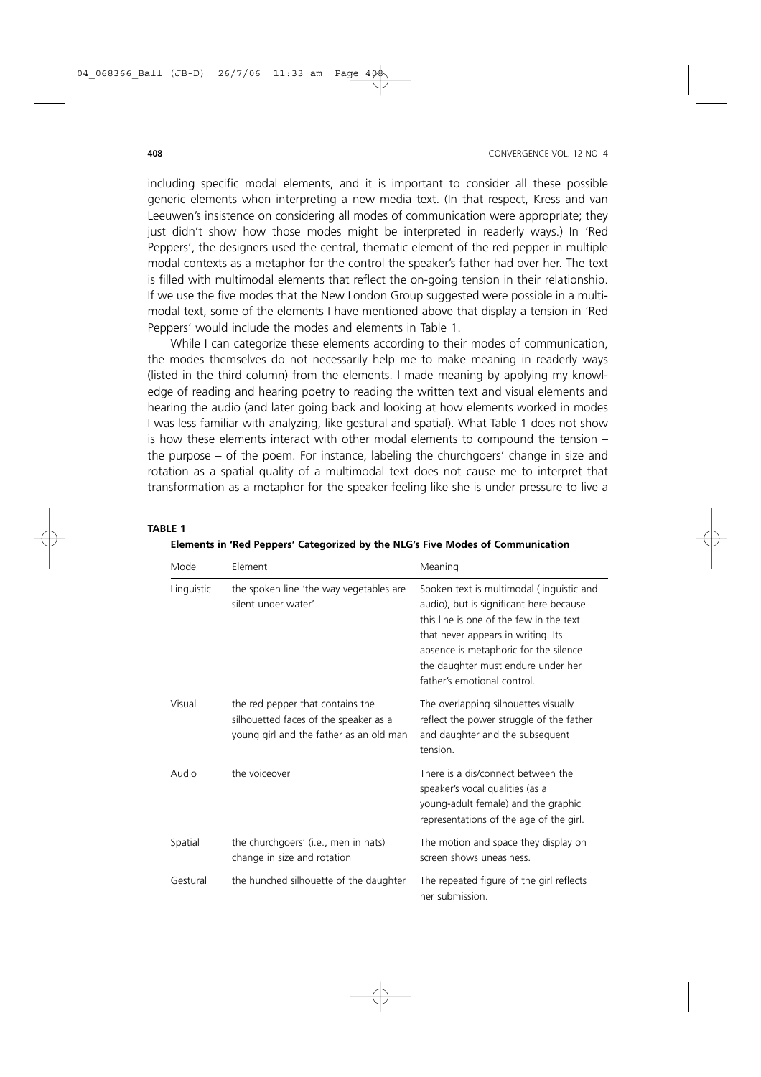including specific modal elements, and it is important to consider all these possible generic elements when interpreting a new media text. (In that respect, Kress and van Leeuwen's insistence on considering all modes of communication were appropriate; they just didn't show how those modes might be interpreted in readerly ways.) In 'Red Peppers', the designers used the central, thematic element of the red pepper in multiple modal contexts as a metaphor for the control the speaker's father had over her. The text is filled with multimodal elements that reflect the on-going tension in their relationship. If we use the five modes that the New London Group suggested were possible in a multimodal text, some of the elements I have mentioned above that display a tension in 'Red Peppers' would include the modes and elements in Table 1.

While I can categorize these elements according to their modes of communication, the modes themselves do not necessarily help me to make meaning in readerly ways (listed in the third column) from the elements. I made meaning by applying my knowledge of reading and hearing poetry to reading the written text and visual elements and hearing the audio (and later going back and looking at how elements worked in modes I was less familiar with analyzing, like gestural and spatial). What Table 1 does not show is how these elements interact with other modal elements to compound the tension – the purpose – of the poem. For instance, labeling the churchgoers' change in size and rotation as a spatial quality of a multimodal text does not cause me to interpret that transformation as a metaphor for the speaker feeling like she is under pressure to live a

### **TABLE 1**

**Elements in 'Red Peppers' Categorized by the NLG's Five Modes of Communication**

| Mode       | Element                                                                                                              | Meaning                                                                                                                                                                                                                                                                             |
|------------|----------------------------------------------------------------------------------------------------------------------|-------------------------------------------------------------------------------------------------------------------------------------------------------------------------------------------------------------------------------------------------------------------------------------|
| Linguistic | the spoken line 'the way vegetables are<br>silent under water'                                                       | Spoken text is multimodal (linguistic and<br>audio), but is significant here because<br>this line is one of the few in the text<br>that never appears in writing. Its<br>absence is metaphoric for the silence<br>the daughter must endure under her<br>father's emotional control. |
| Visual     | the red pepper that contains the<br>silhouetted faces of the speaker as a<br>young girl and the father as an old man | The overlapping silhouettes visually<br>reflect the power struggle of the father<br>and daughter and the subsequent<br>tension.                                                                                                                                                     |
| Audio      | the voiceover                                                                                                        | There is a dis/connect between the<br>speaker's vocal qualities (as a<br>young-adult female) and the graphic<br>representations of the age of the girl.                                                                                                                             |
| Spatial    | the churchgoers' (i.e., men in hats)<br>change in size and rotation                                                  | The motion and space they display on<br>screen shows uneasiness.                                                                                                                                                                                                                    |
| Gestural   | the hunched silhouette of the daughter                                                                               | The repeated figure of the girl reflects<br>her submission.                                                                                                                                                                                                                         |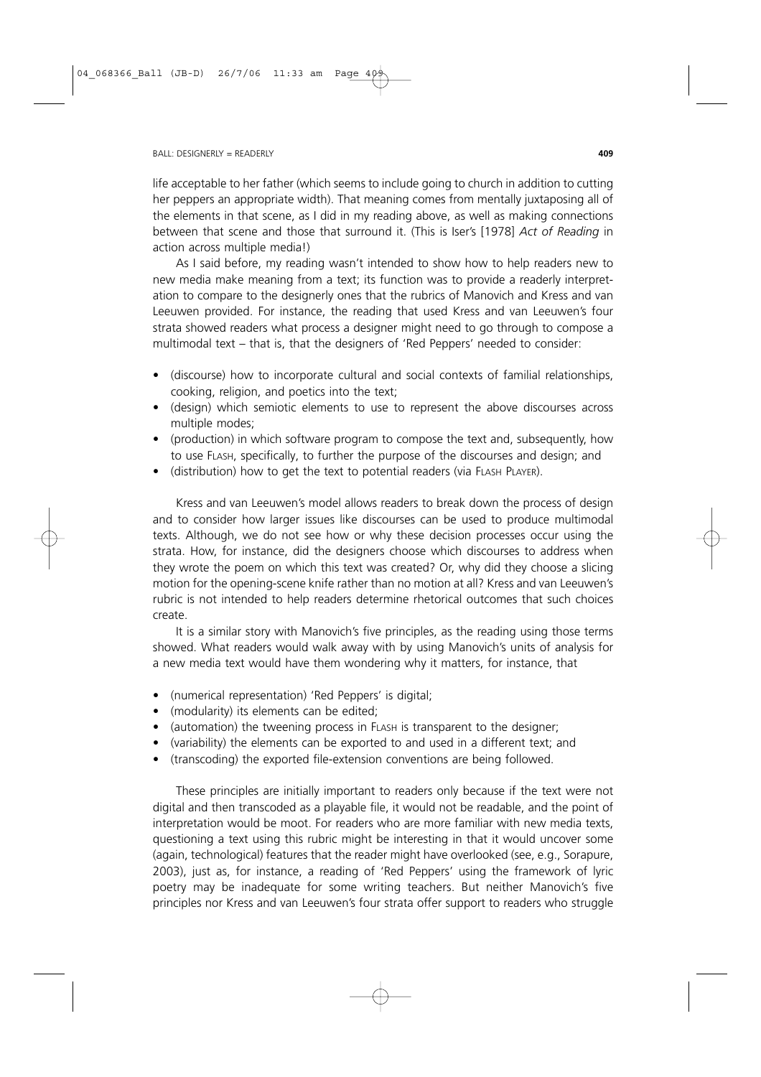life acceptable to her father (which seems to include going to church in addition to cutting her peppers an appropriate width). That meaning comes from mentally juxtaposing all of the elements in that scene, as I did in my reading above, as well as making connections between that scene and those that surround it. (This is Iser's [1978] *Act of Reading* in action across multiple media!)

As I said before, my reading wasn't intended to show how to help readers new to new media make meaning from a text; its function was to provide a readerly interpretation to compare to the designerly ones that the rubrics of Manovich and Kress and van Leeuwen provided. For instance, the reading that used Kress and van Leeuwen's four strata showed readers what process a designer might need to go through to compose a multimodal text – that is, that the designers of 'Red Peppers' needed to consider:

- (discourse) how to incorporate cultural and social contexts of familial relationships, cooking, religion, and poetics into the text;
- (design) which semiotic elements to use to represent the above discourses across multiple modes;
- (production) in which software program to compose the text and, subsequently, how to use FLASH, specifically, to further the purpose of the discourses and design; and
- (distribution) how to get the text to potential readers (via FLASH PLAYER).

Kress and van Leeuwen's model allows readers to break down the process of design and to consider how larger issues like discourses can be used to produce multimodal texts. Although, we do not see how or why these decision processes occur using the strata. How, for instance, did the designers choose which discourses to address when they wrote the poem on which this text was created? Or, why did they choose a slicing motion for the opening-scene knife rather than no motion at all? Kress and van Leeuwen's rubric is not intended to help readers determine rhetorical outcomes that such choices create.

It is a similar story with Manovich's five principles, as the reading using those terms showed. What readers would walk away with by using Manovich's units of analysis for a new media text would have them wondering why it matters, for instance, that

- (numerical representation) 'Red Peppers' is digital;
- (modularity) its elements can be edited;
- (automation) the tweening process in FLASH is transparent to the designer;
- (variability) the elements can be exported to and used in a different text; and
- (transcoding) the exported file-extension conventions are being followed.

These principles are initially important to readers only because if the text were not digital and then transcoded as a playable file, it would not be readable, and the point of interpretation would be moot. For readers who are more familiar with new media texts, questioning a text using this rubric might be interesting in that it would uncover some (again, technological) features that the reader might have overlooked (see, e.g., Sorapure, 2003), just as, for instance, a reading of 'Red Peppers' using the framework of lyric poetry may be inadequate for some writing teachers. But neither Manovich's five principles nor Kress and van Leeuwen's four strata offer support to readers who struggle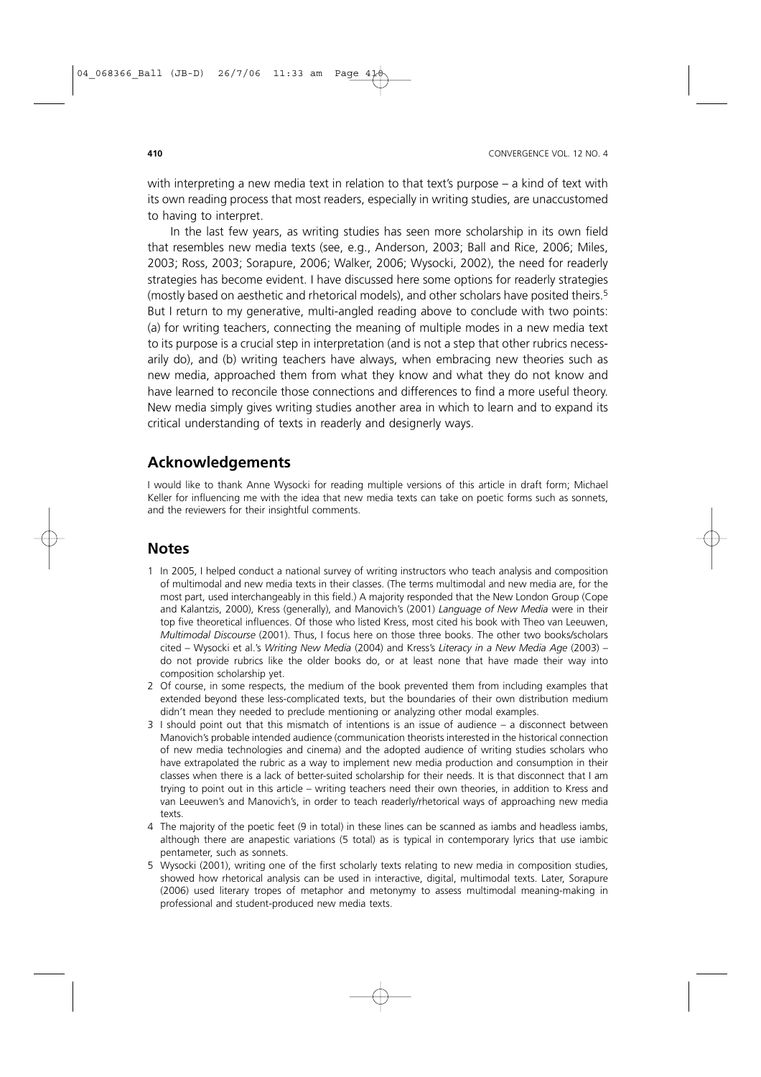with interpreting a new media text in relation to that text's purpose – a kind of text with its own reading process that most readers, especially in writing studies, are unaccustomed to having to interpret.

In the last few years, as writing studies has seen more scholarship in its own field that resembles new media texts (see, e.g., Anderson, 2003; Ball and Rice, 2006; Miles, 2003; Ross, 2003; Sorapure, 2006; Walker, 2006; Wysocki, 2002), the need for readerly strategies has become evident. I have discussed here some options for readerly strategies (mostly based on aesthetic and rhetorical models), and other scholars have posited theirs.5 But I return to my generative, multi-angled reading above to conclude with two points: (a) for writing teachers, connecting the meaning of multiple modes in a new media text to its purpose is a crucial step in interpretation (and is not a step that other rubrics necessarily do), and (b) writing teachers have always, when embracing new theories such as new media, approached them from what they know and what they do not know and have learned to reconcile those connections and differences to find a more useful theory. New media simply gives writing studies another area in which to learn and to expand its critical understanding of texts in readerly and designerly ways.

### **Acknowledgements**

I would like to thank Anne Wysocki for reading multiple versions of this article in draft form; Michael Keller for influencing me with the idea that new media texts can take on poetic forms such as sonnets, and the reviewers for their insightful comments.

### **Notes**

- 1 In 2005, I helped conduct a national survey of writing instructors who teach analysis and composition of multimodal and new media texts in their classes. (The terms multimodal and new media are, for the most part, used interchangeably in this field.) A majority responded that the New London Group (Cope and Kalantzis, 2000), Kress (generally), and Manovich's (2001) *Language of New Media* were in their top five theoretical influences. Of those who listed Kress, most cited his book with Theo van Leeuwen, *Multimodal Discourse* (2001). Thus, I focus here on those three books. The other two books/scholars cited – Wysocki et al.'s *Writing New Media* (2004) and Kress's *Literacy in a New Media Age* (2003) – do not provide rubrics like the older books do, or at least none that have made their way into composition scholarship yet.
- 2 Of course, in some respects, the medium of the book prevented them from including examples that extended beyond these less-complicated texts, but the boundaries of their own distribution medium didn't mean they needed to preclude mentioning or analyzing other modal examples.
- 3 I should point out that this mismatch of intentions is an issue of audience a disconnect between Manovich's probable intended audience (communication theorists interested in the historical connection of new media technologies and cinema) and the adopted audience of writing studies scholars who have extrapolated the rubric as a way to implement new media production and consumption in their classes when there is a lack of better-suited scholarship for their needs. It is that disconnect that I am trying to point out in this article – writing teachers need their own theories, in addition to Kress and van Leeuwen's and Manovich's, in order to teach readerly/rhetorical ways of approaching new media texts.
- 4 The majority of the poetic feet (9 in total) in these lines can be scanned as iambs and headless iambs, although there are anapestic variations (5 total) as is typical in contemporary lyrics that use iambic pentameter, such as sonnets.
- 5 Wysocki (2001), writing one of the first scholarly texts relating to new media in composition studies, showed how rhetorical analysis can be used in interactive, digital, multimodal texts. Later, Sorapure (2006) used literary tropes of metaphor and metonymy to assess multimodal meaning-making in professional and student-produced new media texts.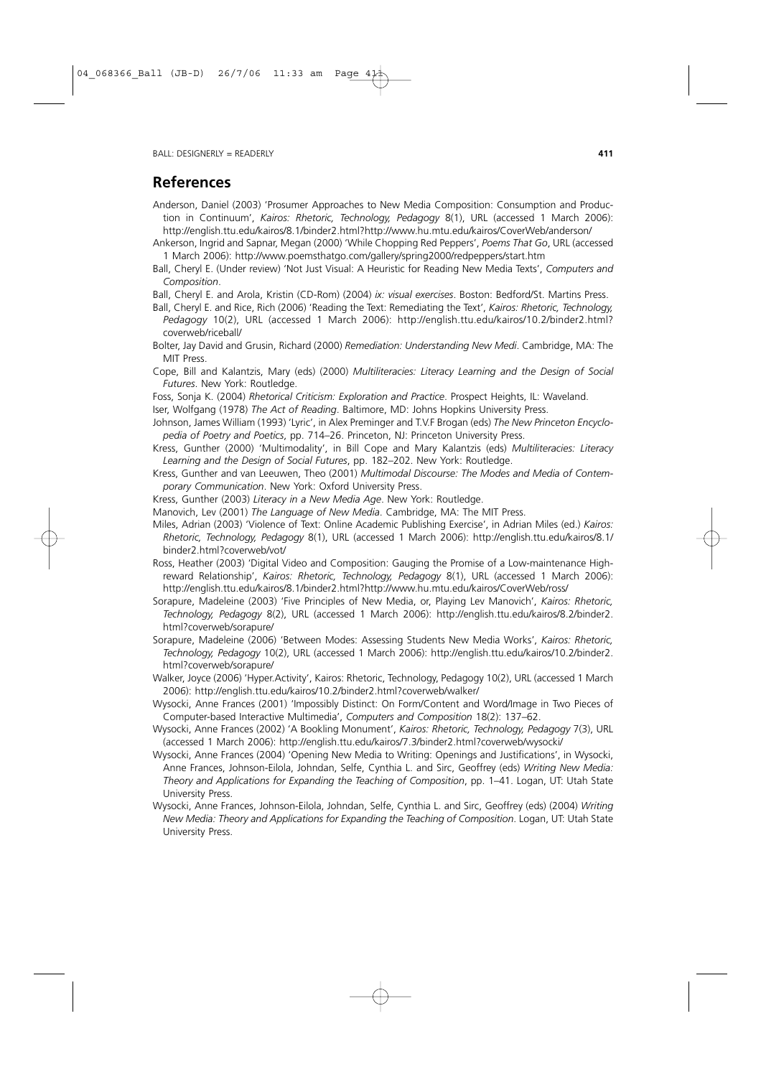### **References**

Anderson, Daniel (2003) 'Prosumer Approaches to New Media Composition: Consumption and Production in Continuum', *Kairos: Rhetoric, Technology, Pedagogy* 8(1), URL (accessed 1 March 2006): http://english.ttu.edu/kairos/8.1/binder2.html?http://www.hu.mtu.edu/kairos/CoverWeb/anderson/

Ankerson, Ingrid and Sapnar, Megan (2000) 'While Chopping Red Peppers', *Poems That Go*, URL (accessed 1 March 2006): http://www.poemsthatgo.com/gallery/spring2000/redpeppers/start.htm

Ball, Cheryl E. (Under review) 'Not Just Visual: A Heuristic for Reading New Media Texts', *Computers and Composition*.

Ball, Cheryl E. and Arola, Kristin (CD-Rom) (2004) *ix: visual exercises*. Boston: Bedford/St. Martins Press.

- Ball, Cheryl E. and Rice, Rich (2006) 'Reading the Text: Remediating the Text', *Kairos: Rhetoric, Technology, Pedagogy* 10(2), URL (accessed 1 March 2006): http://english.ttu.edu/kairos/10.2/binder2.html? coverweb/riceball/
- Bolter, Jay David and Grusin, Richard (2000) *Remediation: Understanding New Medi*. Cambridge, MA: The MIT Press.

Cope, Bill and Kalantzis, Mary (eds) (2000) *Multiliteracies: Literacy Learning and the Design of Social Futures*. New York: Routledge.

Foss, Sonja K. (2004) *Rhetorical Criticism: Exploration and Practice*. Prospect Heights, IL: Waveland.

Iser, Wolfgang (1978) *The Act of Reading*. Baltimore, MD: Johns Hopkins University Press.

Johnson, James William (1993) 'Lyric', in Alex Preminger and T.V.F Brogan (eds) *The New Princeton Encyclopedia of Poetry and Poetics*, pp. 714–26. Princeton, NJ: Princeton University Press.

Kress, Gunther (2000) 'Multimodality', in Bill Cope and Mary Kalantzis (eds) *Multiliteracies: Literacy Learning and the Design of Social Futures*, pp. 182–202. New York: Routledge.

Kress, Gunther and van Leeuwen, Theo (2001) *Multimodal Discourse: The Modes and Media of Contemporary Communication*. New York: Oxford University Press.

Kress, Gunther (2003) *Literacy in a New Media Age*. New York: Routledge.

Manovich, Lev (2001) *The Language of New Media*. Cambridge, MA: The MIT Press.

- Miles, Adrian (2003) 'Violence of Text: Online Academic Publishing Exercise', in Adrian Miles (ed.) *Kairos: Rhetoric, Technology, Pedagogy* 8(1), URL (accessed 1 March 2006): http://english.ttu.edu/kairos/8.1/ binder2.html?coverweb/vot/
- Ross, Heather (2003) 'Digital Video and Composition: Gauging the Promise of a Low-maintenance Highreward Relationship', *Kairos: Rhetoric, Technology, Pedagogy* 8(1), URL (accessed 1 March 2006): http://english.ttu.edu/kairos/8.1/binder2.html?http://www.hu.mtu.edu/kairos/CoverWeb/ross/
- Sorapure, Madeleine (2003) 'Five Principles of New Media, or, Playing Lev Manovich', *Kairos: Rhetoric, Technology, Pedagogy* 8(2), URL (accessed 1 March 2006): http://english.ttu.edu/kairos/8.2/binder2. html?coverweb/sorapure/
- Sorapure, Madeleine (2006) 'Between Modes: Assessing Students New Media Works', *Kairos: Rhetoric, Technology, Pedagogy* 10(2), URL (accessed 1 March 2006): http://english.ttu.edu/kairos/10.2/binder2. html?coverweb/sorapure/

Walker, Joyce (2006) 'Hyper.Activity', Kairos: Rhetoric, Technology, Pedagogy 10(2), URL (accessed 1 March 2006): http://english.ttu.edu/kairos/10.2/binder2.html?coverweb/walker/

Wysocki, Anne Frances (2001) 'Impossibly Distinct: On Form/Content and Word/Image in Two Pieces of Computer-based Interactive Multimedia', *Computers and Composition* 18(2): 137–62.

Wysocki, Anne Frances (2002) 'A Bookling Monument', *Kairos: Rhetoric, Technology, Pedagogy* 7(3), URL (accessed 1 March 2006): http://english.ttu.edu/kairos/7.3/binder2.html?coverweb/wysocki/

- Wysocki, Anne Frances (2004) 'Opening New Media to Writing: Openings and Justifications', in Wysocki, Anne Frances, Johnson-Eilola, Johndan, Selfe, Cynthia L. and Sirc, Geoffrey (eds) *Writing New Media: Theory and Applications for Expanding the Teaching of Composition*, pp. 1–41. Logan, UT: Utah State University Press.
- Wysocki, Anne Frances, Johnson-Eilola, Johndan, Selfe, Cynthia L. and Sirc, Geoffrey (eds) (2004) *Writing New Media: Theory and Applications for Expanding the Teaching of Composition*. Logan, UT: Utah State University Press.